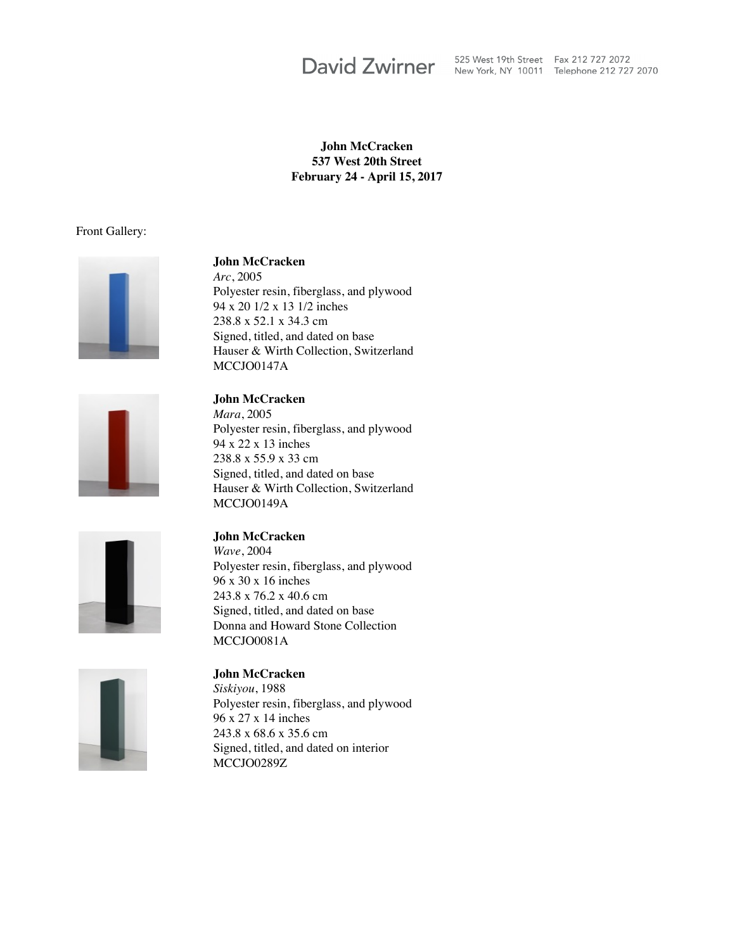David Zwirner 525 West 19th Street Fax 212 727 2072 525 West 19th Street Fax 212 727 2072

### **John McCracken 537 West 20th Street February 24 - April 15, 2017**

### Front Gallery:



### **John McCracken**

*Arc*, 2005 Polyester resin, fiberglass, and plywood 94 x 20 1/2 x 13 1/2 inches 238.8 x 52.1 x 34.3 cm Signed, titled, and dated on base Hauser & Wirth Collection, Switzerland MCCIO0147A



**John McCracken** *Mara*, 2005 Polyester resin, fiberglass, and plywood 94 x 22 x 13 inches 238.8 x 55.9 x 33 cm Signed, titled, and dated on base Hauser & Wirth Collection, Switzerland MCCJO0149A



### **John McCracken**

*Wave*, 2004 Polyester resin, fiberglass, and plywood 96 x 30 x 16 inches 243.8 x 76.2 x 40.6 cm Signed, titled, and dated on base Donna and Howard Stone Collection MCCJO0081A



### **John McCracken**

*Siskiyou*, 1988 Polyester resin, fiberglass, and plywood 96 x 27 x 14 inches 243.8 x 68.6 x 35.6 cm Signed, titled, and dated on interior MCCJO0289Z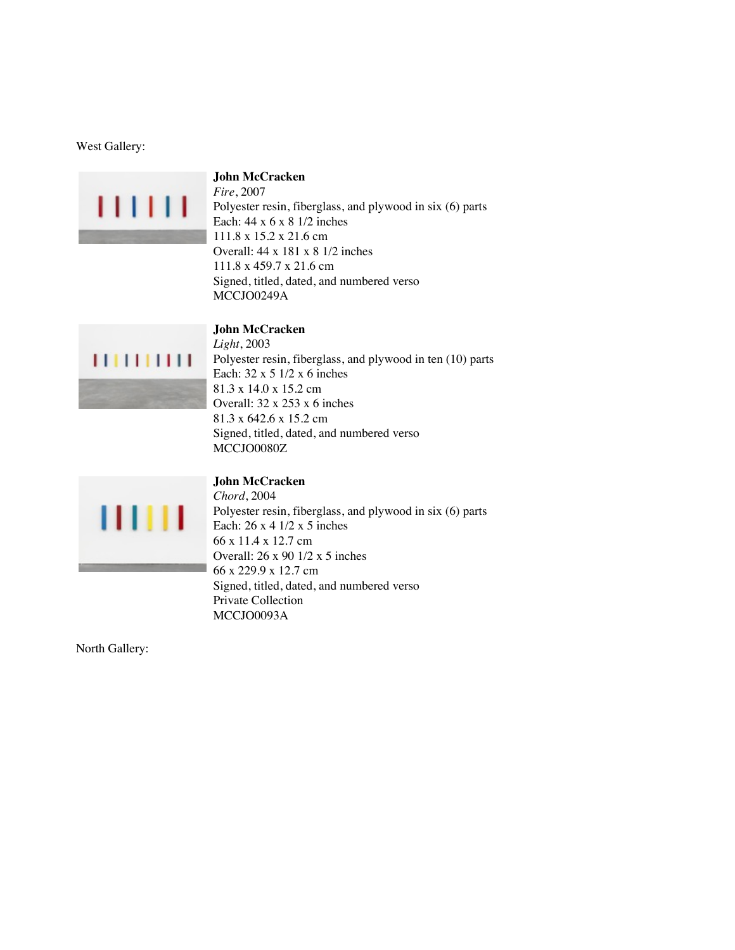### West Gallery:



# **John McCracken**

**John McCracken**

*Fire*, 2007 Polyester resin, fiberglass, and plywood in six (6) parts Each: 44 x 6 x 8 1/2 inches 111.8 x 15.2 x 21.6 cm Overall: 44 x 181 x 8 1/2 inches 111.8 x 459.7 x 21.6 cm Signed, titled, dated, and numbered verso MCCJO0249A

# $1111111111$

*Light*, 2003 Polyester resin, fiberglass, and plywood in ten (10) parts Each: 32 x 5 1/2 x 6 inches 81.3 x 14.0 x 15.2 cm Overall: 32 x 253 x 6 inches 81.3 x 642.6 x 15.2 cm Signed, titled, dated, and numbered verso MCCJO0080Z



### **John McCracken**

*Chord*, 2004 Polyester resin, fiberglass, and plywood in six (6) parts Each: 26 x 4 1/2 x 5 inches 66 x 11.4 x 12.7 cm Overall: 26 x 90 1/2 x 5 inches 66 x 229.9 x 12.7 cm Signed, titled, dated, and numbered verso Private Collection MCCJO0093A

North Gallery: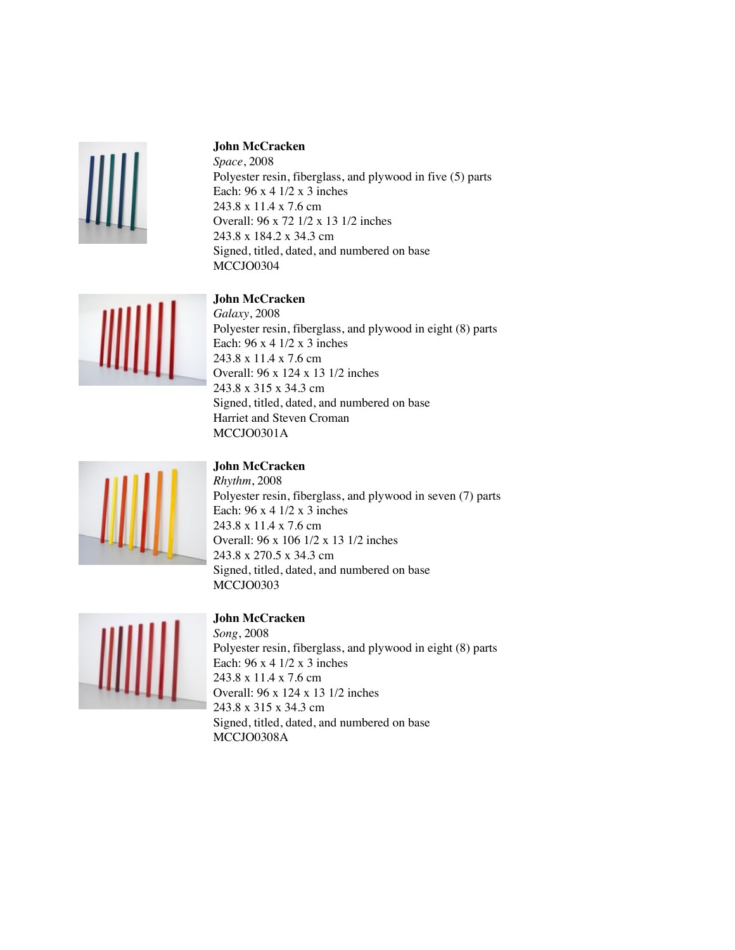

### **John McCracken**

*Space*, 2008 Polyester resin, fiberglass, and plywood in five (5) parts Each: 96 x 4 1/2 x 3 inches 243.8 x 11.4 x 7.6 cm Overall: 96 x 72 1/2 x 13 1/2 inches 243.8 x 184.2 x 34.3 cm Signed, titled, dated, and numbered on base MCCJO0304

### **John McCracken**



*Galaxy*, 2008 Polyester resin, fiberglass, and plywood in eight (8) parts Each: 96 x 4 1/2 x 3 inches 243.8 x 11.4 x 7.6 cm Overall: 96 x 124 x 13 1/2 inches 243.8 x 315 x 34.3 cm Signed, titled, dated, and numbered on base Harriet and Steven Croman MCCJO0301A



### **John McCracken**

*Rhythm*, 2008 Polyester resin, fiberglass, and plywood in seven (7) parts Each: 96 x 4 1/2 x 3 inches 243.8 x 11.4 x 7.6 cm Overall: 96 x 106 1/2 x 13 1/2 inches 243.8 x 270.5 x 34.3 cm Signed, titled, dated, and numbered on base MCCJO0303



### **John McCracken**

*Song*, 2008 Polyester resin, fiberglass, and plywood in eight (8) parts Each: 96 x 4 1/2 x 3 inches 243.8 x 11.4 x 7.6 cm Overall: 96 x 124 x 13 1/2 inches 243.8 x 315 x 34.3 cm Signed, titled, dated, and numbered on base MCCJO0308A